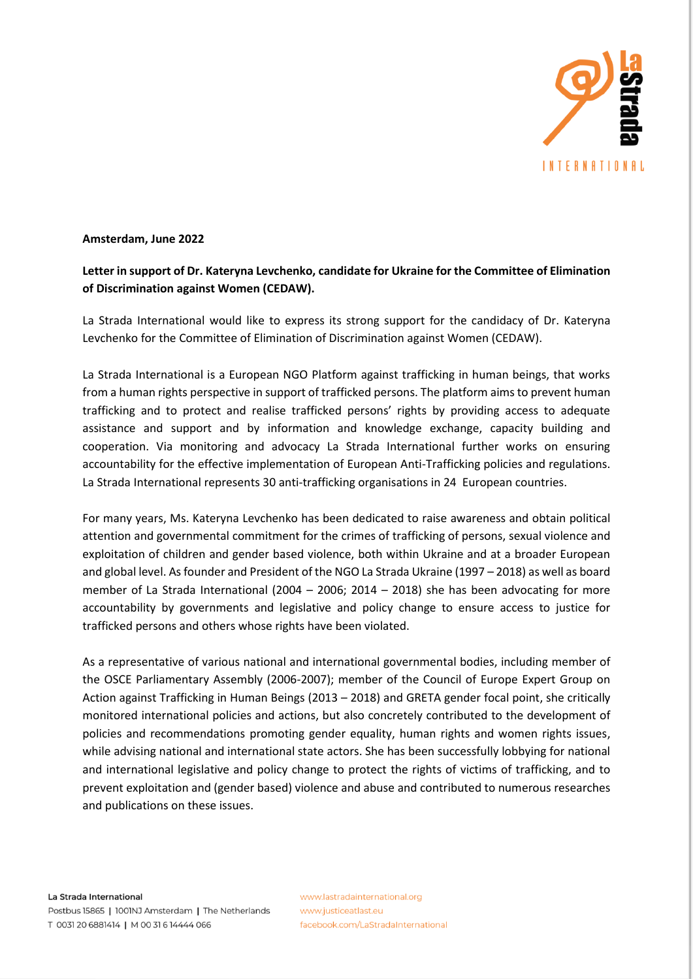

## **Amsterdam, June 2022**

## **Letter in support of Dr. Kateryna Levchenko, candidate for Ukraine for the Committee of Elimination of Discrimination against Women (CEDAW).**

La Strada International would like to express its strong support for the candidacy of Dr. Kateryna Levchenko for the Committee of Elimination of Discrimination against Women (CEDAW).

La Strada International is a European NGO Platform against trafficking in human beings, that works from a human rights perspective in support of trafficked persons. The platform aims to prevent human trafficking and to protect and realise trafficked persons' rights by providing access to adequate assistance and support and by information and knowledge exchange, capacity building and cooperation. Via monitoring and advocacy La Strada International further works on ensuring accountability for the effective implementation of European Anti-Trafficking policies and regulations. La Strada International represents 30 anti-trafficking organisations in 24 European countries.

For many years, Ms. Kateryna Levchenko has been dedicated to raise awareness and obtain political attention and governmental commitment for the crimes of trafficking of persons, sexual violence and exploitation of children and gender based violence, both within Ukraine and at a broader European and global level. As founder and President of the NGO La Strada Ukraine (1997 – 2018) as well as board member of La Strada International (2004 – 2006; 2014 – 2018) she has been advocating for more accountability by governments and legislative and policy change to ensure access to justice for trafficked persons and others whose rights have been violated.

As a representative of various national and international governmental bodies, including member of the OSCE Parliamentary Assembly (2006-2007); member of the Council of Europe Expert Group on Action against Trafficking in Human Beings (2013 – 2018) and GRETA gender focal point, she critically monitored international policies and actions, but also concretely contributed to the development of policies and recommendations promoting gender equality, human rights and women rights issues, while advising national and international state actors. She has been successfully lobbying for national and international legislative and policy change to protect the rights of victims of trafficking, and to prevent exploitation and (gender based) violence and abuse and contributed to numerous researches and publications on these issues.

www.lastradainternational.org www.justiceatlast.eu facebook.com/LaStradaInternational